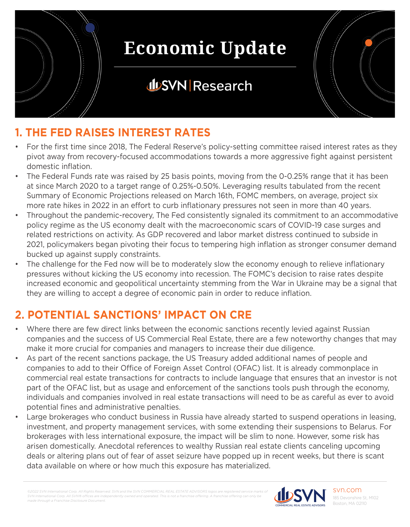

### **JUSVN Research**



#### **1. THE FED RAISES INTEREST RATES**

- For the first time since 2018, The Federal Reserve's policy-setting committee raised interest rates as they pivot away from recovery-focused accommodations towards a more aggressive fight against persistent domestic inflation.
- The Federal Funds rate was raised by 25 basis points, moving from the 0-0.25% range that it has been at since March 2020 to a target range of 0.25%-0.50%. Leveraging results tabulated from the recent Summary of Economic Projections released on March 16th, FOMC members, on average, project six more rate hikes in 2022 in an effort to curb inflationary pressures not seen in more than 40 years.
- Throughout the pandemic-recovery, The Fed consistently signaled its commitment to an accommodative policy regime as the US economy dealt with the macroeconomic scars of COVID-19 case surges and related restrictions on activity. As GDP recovered and labor market distress continued to subside in 2021, policymakers began pivoting their focus to tempering high inflation as stronger consumer demand bucked up against supply constraints.
- The challenge for the Fed now will be to moderately slow the economy enough to relieve inflationary pressures without kicking the US economy into recession. The FOMC's decision to raise rates despite increased economic and geopolitical uncertainty stemming from the War in Ukraine may be a signal that they are willing to accept a degree of economic pain in order to reduce inflation.

### **2. POTENTIAL SANCTIONS' IMPACT ON CRE**

- Where there are few direct links between the economic sanctions recently levied against Russian companies and the success of US Commercial Real Estate, there are a few noteworthy changes that may make it more crucial for companies and managers to increase their due diligence.
- As part of the recent sanctions package, the US Treasury added additional names of people and companies to add to their Office of Foreign Asset Control (OFAC) list. It is already commonplace in commercial real estate transactions for contracts to include language that ensures that an investor is not part of the OFAC list, but as usage and enforcement of the sanctions tools push through the economy, individuals and companies involved in real estate transactions will need to be as careful as ever to avoid potential fines and administrative penalties.
- Large brokerages who conduct business in Russia have already started to suspend operations in leasing, investment, and property management services, with some extending their suspensions to Belarus. For brokerages with less international exposure, the impact will be slim to none. However, some risk has arisen domestically. Anecdotal references to wealthy Russian real estate clients canceling upcoming deals or altering plans out of fear of asset seizure have popped up in recent weeks, but there is scant data available on where or how much this exposure has materialized.

*©2022 SVN International Corp. All Rights Reserved. SVN and the SVN COMMERCIAL REAL ESTATE ADVISORS logos are registered service marks of SVN International Corp. All SVN® offices are independently owned and operated. This is not a franchise offering. A franchise offering can only be made through a Franchise Disclosure Document.*



svn.com 185 Devonshire St, M102 Boston, MA 02110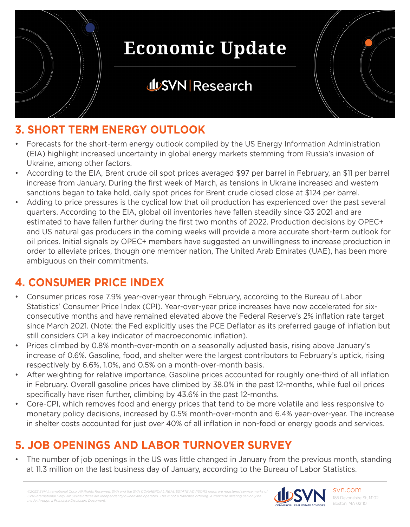

### **JUSVN Research**



#### **3. SHORT TERM ENERGY OUTLOOK**

- Forecasts for the short-term energy outlook compiled by the US Energy Information Administration (EIA) highlight increased uncertainty in global energy markets stemming from Russia's invasion of Ukraine, among other factors.
- According to the EIA, Brent crude oil spot prices averaged \$97 per barrel in February, an \$11 per barrel increase from January. During the first week of March, as tensions in Ukraine increased and western sanctions began to take hold, daily spot prices for Brent crude closed close at \$124 per barrel.
- Adding to price pressures is the cyclical low that oil production has experienced over the past several quarters. According to the EIA, global oil inventories have fallen steadily since Q3 2021 and are estimated to have fallen further during the first two months of 2022. Production decisions by OPEC+ and US natural gas producers in the coming weeks will provide a more accurate short-term outlook for oil prices. Initial signals by OPEC+ members have suggested an unwillingness to increase production in order to alleviate prices, though one member nation, The United Arab Emirates (UAE), has been more ambiguous on their commitments.

### **4. CONSUMER PRICE INDEX**

- Consumer prices rose 7.9% year-over-year through February, according to the Bureau of Labor Statistics' Consumer Price Index (CPI). Year-over-year price increases have now accelerated for sixconsecutive months and have remained elevated above the Federal Reserve's 2% inflation rate target since March 2021. (Note: the Fed explicitly uses the PCE Deflator as its preferred gauge of inflation but still considers CPI a key indicator of macroeconomic inflation).
- Prices climbed by 0.8% month-over-month on a seasonally adjusted basis, rising above January's increase of 0.6%. Gasoline, food, and shelter were the largest contributors to February's uptick, rising respectively by 6.6%, 1.0%, and 0.5% on a month-over-month basis.
- After weighting for relative importance, Gasoline prices accounted for roughly one-third of all inflation in February. Overall gasoline prices have climbed by 38.0% in the past 12-months, while fuel oil prices specifically have risen further, climbing by 43.6% in the past 12-months.
- Core-CPI, which removes food and energy prices that tend to be more volatile and less responsive to monetary policy decisions, increased by 0.5% month-over-month and 6.4% year-over-year. The increase in shelter costs accounted for just over 40% of all inflation in non-food or energy goods and services.

### **5. JOB OPENINGS AND LABOR TURNOVER SURVEY**

The number of job openings in the US was little changed in January from the previous month, standing at 11.3 million on the last business day of January, according to the Bureau of Labor Statistics.

*©2022 SVN International Corp. All Rights Reserved. SVN and the SVN COMMERCIAL REAL ESTATE ADVISORS logos are registered service marks of SVN International Corp. All SVN® offices are independently owned and operated. This is not a franchise offering. A franchise offering can only be made through a Franchise Disclosure Document.*

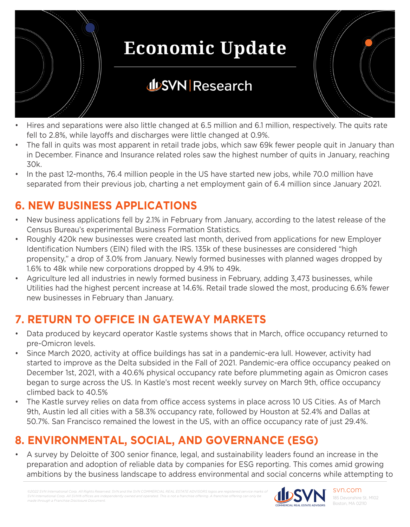

## **JUSVN Research**



- The fall in quits was most apparent in retail trade jobs, which saw 69k fewer people quit in January than in December. Finance and Insurance related roles saw the highest number of quits in January, reaching 30k.
- In the past 12-months, 76.4 million people in the US have started new jobs, while 70.0 million have separated from their previous job, charting a net employment gain of 6.4 million since January 2021.

#### **6. NEW BUSINESS APPLICATIONS**

- New business applications fell by 2.1% in February from January, according to the latest release of the Census Bureau's experimental Business Formation Statistics.
- Roughly 420k new businesses were created last month, derived from applications for new Employer Identification Numbers (EIN) filed with the IRS. 135k of these businesses are considered "high propensity," a drop of 3.0% from January. Newly formed businesses with planned wages dropped by 1.6% to 48k while new corporations dropped by 4.9% to 49k.
- Agriculture led all industries in newly formed business in February, adding 3,473 businesses, while Utilities had the highest percent increase at 14.6%. Retail trade slowed the most, producing 6.6% fewer new businesses in February than January.

#### **7. RETURN TO OFFICE IN GATEWAY MARKETS**

- Data produced by keycard operator Kastle systems shows that in March, office occupancy returned to pre-Omicron levels.
- Since March 2020, activity at office buildings has sat in a pandemic-era lull. However, activity had started to improve as the Delta subsided in the Fall of 2021. Pandemic-era office occupancy peaked on December 1st, 2021, with a 40.6% physical occupancy rate before plummeting again as Omicron cases began to surge across the US. In Kastle's most recent weekly survey on March 9th, office occupancy climbed back to 40.5%
- The Kastle survey relies on data from office access systems in place across 10 US Cities. As of March 9th, Austin led all cities with a 58.3% occupancy rate, followed by Houston at 52.4% and Dallas at 50.7%. San Francisco remained the lowest in the US, with an office occupancy rate of just 29.4%.

#### **8. ENVIRONMENTAL, SOCIAL, AND GOVERNANCE (ESG)**

• A survey by Deloitte of 300 senior finance, legal, and sustainability leaders found an increase in the preparation and adoption of reliable data by companies for ESG reporting. This comes amid growing ambitions by the business landscape to address environmental and social concerns while attempting to

*©2022 SVN International Corp. All Rights Reserved. SVN and the SVN COMMERCIAL REAL ESTATE ADVISORS logos are registered service marks of*  **SVN International Corp. All SVN® offices are independent** *made through a Franchise Disclosure Document.*



svn.com 185 Devonshire St, M102 Boston, MA 02110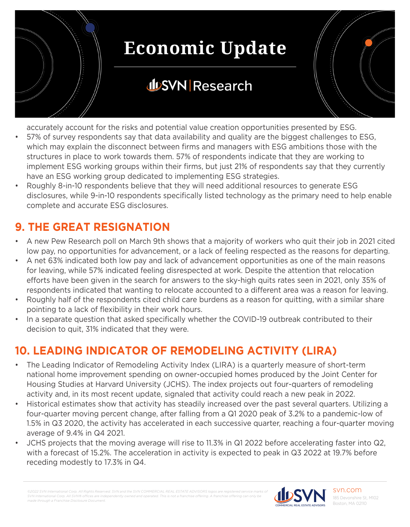

## **JUSVN Research**

accurately account for the risks and potential value creation opportunities presented by ESG.

- 57% of survey respondents say that data availability and quality are the biggest challenges to ESG, which may explain the disconnect between firms and managers with ESG ambitions those with the structures in place to work towards them. 57% of respondents indicate that they are working to implement ESG working groups within their firms, but just 21% of respondents say that they currently have an ESG working group dedicated to implementing ESG strategies.
- Roughly 8-in-10 respondents believe that they will need additional resources to generate ESG disclosures, while 9-in-10 respondents specifically listed technology as the primary need to help enable complete and accurate ESG disclosures.

#### **9. THE GREAT RESIGNATION**

- A new Pew Research poll on March 9th shows that a majority of workers who quit their job in 2021 cited low pay, no opportunities for advancement, or a lack of feeling respected as the reasons for departing.
- A net 63% indicated both low pay and lack of advancement opportunities as one of the main reasons for leaving, while 57% indicated feeling disrespected at work. Despite the attention that relocation efforts have been given in the search for answers to the sky-high quits rates seen in 2021, only 35% of respondents indicated that wanting to relocate accounted to a different area was a reason for leaving.
- Roughly half of the respondents cited child care burdens as a reason for quitting, with a similar share pointing to a lack of flexibility in their work hours.
- In a separate question that asked specifically whether the COVID-19 outbreak contributed to their decision to quit, 31% indicated that they were.

#### **10. LEADING INDICATOR OF REMODELING ACTIVITY (LIRA)**

- The Leading Indicator of Remodeling Activity Index (LIRA) is a quarterly measure of short-term national home improvement spending on owner-occupied homes produced by the Joint Center for Housing Studies at Harvard University (JCHS). The index projects out four-quarters of remodeling activity and, in its most recent update, signaled that activity could reach a new peak in 2022.
- Historical estimates show that activity has steadily increased over the past several quarters. Utilizing a four-quarter moving percent change, after falling from a Q1 2020 peak of 3.2% to a pandemic-low of 1.5% in Q3 2020, the activity has accelerated in each successive quarter, reaching a four-quarter moving average of 9.4% in Q4 2021.
- JCHS projects that the moving average will rise to 11.3% in Q1 2022 before accelerating faster into Q2, with a forecast of 15.2%. The acceleration in activity is expected to peak in Q3 2022 at 19.7% before receding modestly to 17.3% in Q4.

*©2022 SVN International Corp. All Rights Reserved. SVN and the SVN COMMERCIAL REAL ESTATE ADVISORS logos are registered service marks of SVN International Corp. All SVN® offices are independently owned and operated. This is not a franchise offering. A franchise offering can only be made through a Franchise Disclosure Document.*